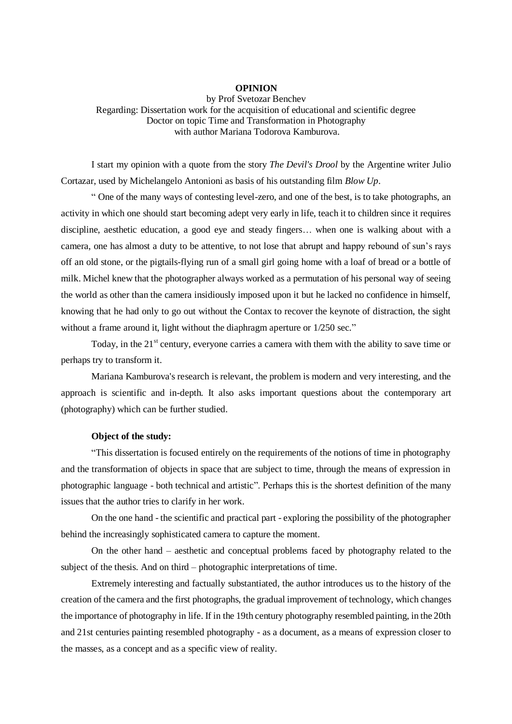## **OPINION**

by Prof Svetozar Benchev Regarding: Dissertation work for the acquisition of educational and scientific degree Doctor on topic Time and Transformation in Photography with author Mariana Todorova Kamburova.

I start my opinion with a quote from the story *The Devil's Drool* by the Argentine writer Julio Cortazar, used by Michelangelo Antonioni as basis of his outstanding film *Blow Up*.

" One of the many ways of contesting level-zero, and one of the best, is to take photographs, an activity in which one should start becoming adept very early in life, teach it to children since it requires discipline, aesthetic education, a good eye and steady fingers… when one is walking about with a camera, one has almost a duty to be attentive, to not lose that abrupt and happy rebound of sun's rays off an old stone, or the pigtails-flying run of a small girl going home with a loaf of bread or a bottle of milk. Michel knew that the photographer always worked as a permutation of his personal way of seeing the world as other than the camera insidiously imposed upon it but he lacked no confidence in himself, knowing that he had only to go out without the Contax to recover the keynote of distraction, the sight without a frame around it, light without the diaphragm aperture or  $1/250$  sec."

Today, in the  $21<sup>st</sup>$  century, everyone carries a camera with them with the ability to save time or perhaps try to transform it.

Mariana Kamburova's research is relevant, the problem is modern and very interesting, and the approach is scientific and in-depth. It also asks important questions about the contemporary art (photography) which can be further studied.

## **Object of the study:**

"This dissertation is focused entirely on the requirements of the notions of time in photography and the transformation of objects in space that are subject to time, through the means of expression in photographic language - both technical and artistic". Perhaps this is the shortest definition of the many issues that the author tries to clarify in her work.

On the one hand - the scientific and practical part - exploring the possibility of the photographer behind the increasingly sophisticated camera to capture the moment.

On the other hand – aesthetic and conceptual problems faced by photography related to the subject of the thesis. And on third – photographic interpretations of time.

Extremely interesting and factually substantiated, the author introduces us to the history of the creation of the camera and the first photographs, the gradual improvement of technology, which changes the importance of photography in life. If in the 19th century photography resembled painting, in the 20th and 21st centuries painting resembled photography - as a document, as a means of expression closer to the masses, as a concept and as a specific view of reality.